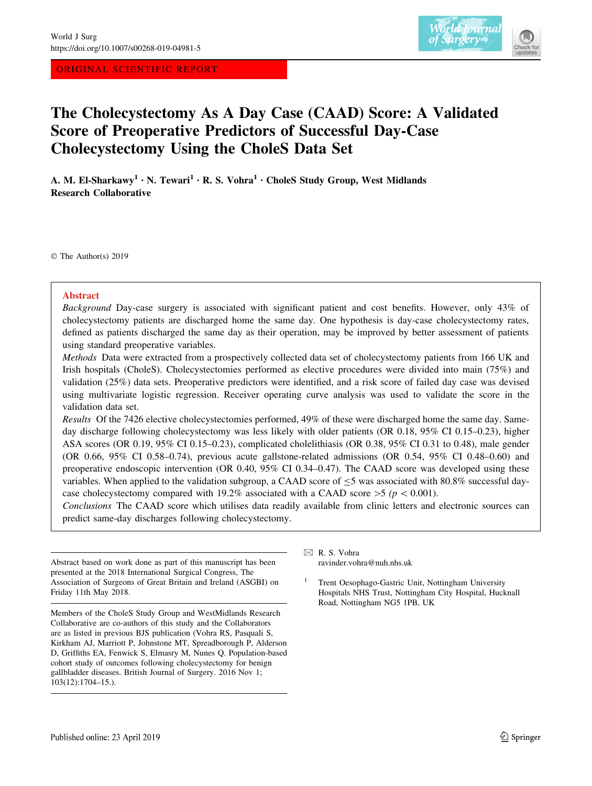ORIGINAL SCIENTIFIC REPORT



# The Cholecystectomy As A Day Case (CAAD) Score: A Validated Score of Preoperative Predictors of Successful Day-Case Cholecystectomy Using the CholeS Data Set

A. M. El-Sharkawy<sup>1</sup> • N. Tewari<sup>1</sup> • R. S. Vohra<sup>1</sup> • CholeS Study Group, West Midlands Research Collaborative

© The Author(s) 2019

## Abstract

Background Day-case surgery is associated with significant patient and cost benefits. However, only 43% of cholecystectomy patients are discharged home the same day. One hypothesis is day-case cholecystectomy rates, defined as patients discharged the same day as their operation, may be improved by better assessment of patients using standard preoperative variables.

Methods Data were extracted from a prospectively collected data set of cholecystectomy patients from 166 UK and Irish hospitals (CholeS). Cholecystectomies performed as elective procedures were divided into main (75%) and validation (25%) data sets. Preoperative predictors were identified, and a risk score of failed day case was devised using multivariate logistic regression. Receiver operating curve analysis was used to validate the score in the validation data set.

Results Of the 7426 elective cholecystectomies performed, 49% of these were discharged home the same day. Sameday discharge following cholecystectomy was less likely with older patients (OR 0.18, 95% CI 0.15–0.23), higher ASA scores (OR 0.19, 95% CI 0.15–0.23), complicated cholelithiasis (OR 0.38, 95% CI 0.31 to 0.48), male gender (OR 0.66, 95% CI 0.58–0.74), previous acute gallstone-related admissions (OR 0.54, 95% CI 0.48–0.60) and preoperative endoscopic intervention (OR 0.40, 95% CI 0.34–0.47). The CAAD score was developed using these variables. When applied to the validation subgroup, a CAAD score of  $\leq$ 5 was associated with 80.8% successful daycase cholecystectomy compared with 19.2% associated with a CAAD score  $>5$  (p < 0.001).

Conclusions The CAAD score which utilises data readily available from clinic letters and electronic sources can predict same-day discharges following cholecystectomy.

Abstract based on work done as part of this manuscript has been presented at the 2018 International Surgical Congress, The Association of Surgeons of Great Britain and Ireland (ASGBI) on Friday 11th May 2018.

Members of the CholeS Study Group and WestMidlands Research Collaborative are co-authors of this study and the Collaborators are as listed in previous BJS publication (Vohra RS, Pasquali S, Kirkham AJ, Marriott P, Johnstone MT, Spreadborough P, Alderson D, Griffiths EA, Fenwick S, Elmasry M, Nunes Q. Population-based cohort study of outcomes following cholecystectomy for benign gallbladder diseases. British Journal of Surgery. 2016 Nov 1; 103(12):1704–15.).

 $\boxtimes$  R. S. Vohra ravinder.vohra@nuh.nhs.uk

Trent Oesophago-Gastric Unit, Nottingham University Hospitals NHS Trust, Nottingham City Hospital, Hucknall Road, Nottingham NG5 1PB, UK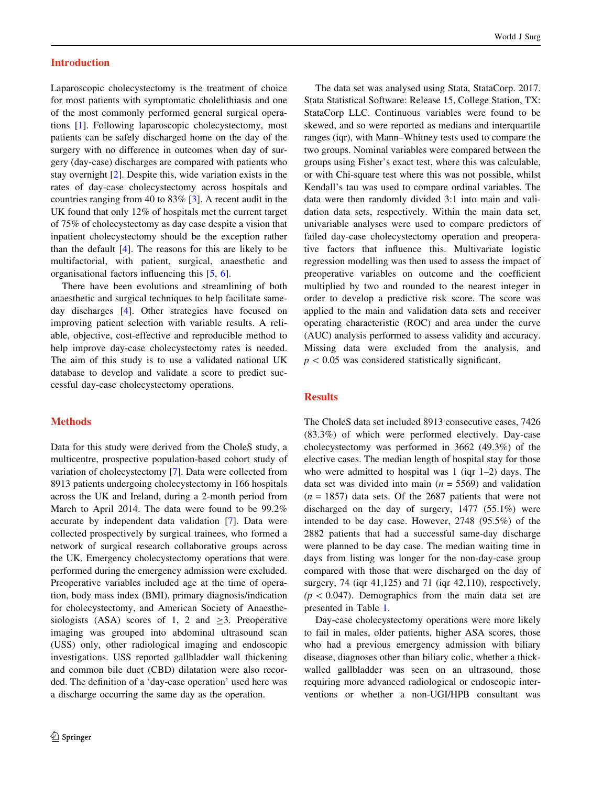### Introduction

Laparoscopic cholecystectomy is the treatment of choice for most patients with symptomatic cholelithiasis and one of the most commonly performed general surgical operations [[1\]](#page-6-0). Following laparoscopic cholecystectomy, most patients can be safely discharged home on the day of the surgery with no difference in outcomes when day of surgery (day-case) discharges are compared with patients who stay overnight [\[2](#page-6-0)]. Despite this, wide variation exists in the rates of day-case cholecystectomy across hospitals and countries ranging from 40 to 83% [\[3](#page-6-0)]. A recent audit in the UK found that only 12% of hospitals met the current target of 75% of cholecystectomy as day case despite a vision that inpatient cholecystectomy should be the exception rather than the default [\[4](#page-6-0)]. The reasons for this are likely to be multifactorial, with patient, surgical, anaesthetic and organisational factors influencing this [\[5](#page-6-0), [6\]](#page-6-0).

There have been evolutions and streamlining of both anaesthetic and surgical techniques to help facilitate sameday discharges [\[4](#page-6-0)]. Other strategies have focused on improving patient selection with variable results. A reliable, objective, cost-effective and reproducible method to help improve day-case cholecystectomy rates is needed. The aim of this study is to use a validated national UK database to develop and validate a score to predict successful day-case cholecystectomy operations.

# **Methods**

Data for this study were derived from the CholeS study, a multicentre, prospective population-based cohort study of variation of cholecystectomy [[7\]](#page-6-0). Data were collected from 8913 patients undergoing cholecystectomy in 166 hospitals across the UK and Ireland, during a 2-month period from March to April 2014. The data were found to be 99.2% accurate by independent data validation [[7\]](#page-6-0). Data were collected prospectively by surgical trainees, who formed a network of surgical research collaborative groups across the UK. Emergency cholecystectomy operations that were performed during the emergency admission were excluded. Preoperative variables included age at the time of operation, body mass index (BMI), primary diagnosis/indication for cholecystectomy, and American Society of Anaesthesiologists  $(ASA)$  scores of 1, 2 and  $>3$ . Preoperative imaging was grouped into abdominal ultrasound scan (USS) only, other radiological imaging and endoscopic investigations. USS reported gallbladder wall thickening and common bile duct (CBD) dilatation were also recorded. The definition of a 'day-case operation' used here was a discharge occurring the same day as the operation.

The data set was analysed using Stata, StataCorp. 2017. Stata Statistical Software: Release 15, College Station, TX: StataCorp LLC. Continuous variables were found to be skewed, and so were reported as medians and interquartile ranges (iqr), with Mann–Whitney tests used to compare the two groups. Nominal variables were compared between the groups using Fisher's exact test, where this was calculable, or with Chi-square test where this was not possible, whilst Kendall's tau was used to compare ordinal variables. The data were then randomly divided 3:1 into main and validation data sets, respectively. Within the main data set, univariable analyses were used to compare predictors of failed day-case cholecystectomy operation and preoperative factors that influence this. Multivariate logistic regression modelling was then used to assess the impact of preoperative variables on outcome and the coefficient multiplied by two and rounded to the nearest integer in order to develop a predictive risk score. The score was applied to the main and validation data sets and receiver operating characteristic (ROC) and area under the curve (AUC) analysis performed to assess validity and accuracy. Missing data were excluded from the analysis, and  $p < 0.05$  was considered statistically significant.

# **Results**

The CholeS data set included 8913 consecutive cases, 7426 (83.3%) of which were performed electively. Day-case cholecystectomy was performed in 3662 (49.3%) of the elective cases. The median length of hospital stay for those who were admitted to hospital was 1 (iqr 1–2) days. The data set was divided into main ( $n = 5569$ ) and validation  $(n = 1857)$  data sets. Of the 2687 patients that were not discharged on the day of surgery, 1477 (55.1%) were intended to be day case. However, 2748 (95.5%) of the 2882 patients that had a successful same-day discharge were planned to be day case. The median waiting time in days from listing was longer for the non-day-case group compared with those that were discharged on the day of surgery, 74 (iqr 41,125) and 71 (iqr 42,110), respectively,  $(p < 0.047)$ . Demographics from the main data set are presented in Table [1](#page-2-0).

Day-case cholecystectomy operations were more likely to fail in males, older patients, higher ASA scores, those who had a previous emergency admission with biliary disease, diagnoses other than biliary colic, whether a thickwalled gallbladder was seen on an ultrasound, those requiring more advanced radiological or endoscopic interventions or whether a non-UGI/HPB consultant was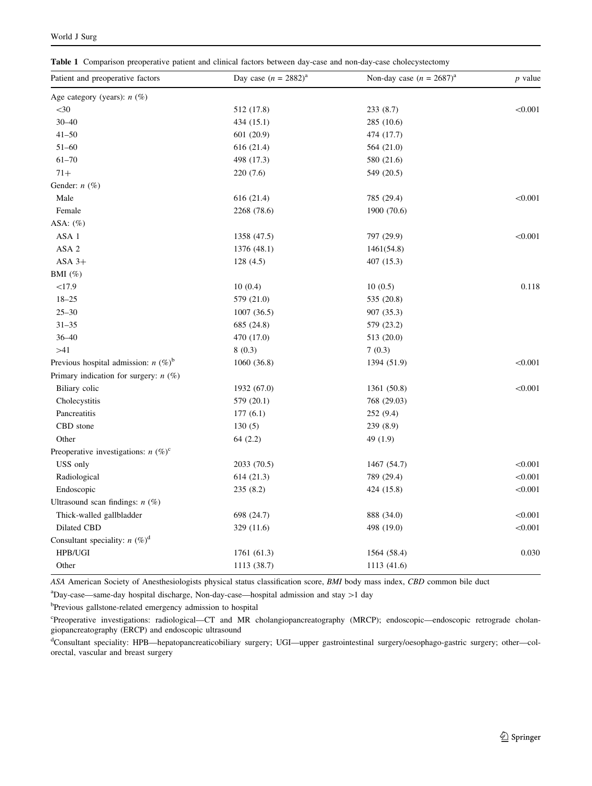<span id="page-2-0"></span>Table 1 Comparison preoperative patient and clinical factors between day-case and non-day-case cholecystectomy

| Patient and preoperative factors        | Day case $(n = 2882)^{a}$ | Non-day case $(n = 2687)^{a}$ | $p$ value |  |
|-----------------------------------------|---------------------------|-------------------------------|-----------|--|
| Age category (years): $n$ (%)           |                           |                               |           |  |
| $<$ 30                                  | 512 (17.8)                | 233 (8.7)                     | < 0.001   |  |
| $30 - 40$                               | 434(15.1)                 | 285 (10.6)                    |           |  |
| $41 - 50$                               | 601(20.9)                 | 474 (17.7)                    |           |  |
| $51 - 60$                               | 616 (21.4)                | 564 (21.0)                    |           |  |
| $61 - 70$                               | 498 (17.3)                | 580 (21.6)                    |           |  |
| $71+$                                   | 220(7.6)                  | 549 (20.5)                    |           |  |
| Gender: $n$ (%)                         |                           |                               |           |  |
| Male                                    | 616 (21.4)                | 785 (29.4)                    | < 0.001   |  |
| Female                                  | 2268 (78.6)               | 1900 (70.6)                   |           |  |
| ASA: $(\%)$                             |                           |                               |           |  |
| ASA 1                                   | 1358 (47.5)               | 797 (29.9)                    | < 0.001   |  |
| ASA <sub>2</sub>                        | 1376 (48.1)               | 1461(54.8)                    |           |  |
| $ASA$ 3+                                | 128(4.5)                  | 407 (15.3)                    |           |  |
| BMI $(\%)$                              |                           |                               |           |  |
| <17.9                                   | 10(0.4)                   | 10(0.5)                       | 0.118     |  |
| $18 - 25$                               | 579 (21.0)                | 535 (20.8)                    |           |  |
| $25 - 30$                               | 1007(36.5)                | 907 (35.3)                    |           |  |
| $31 - 35$                               | 685 (24.8)                | 579 (23.2)                    |           |  |
| $36 - 40$                               | 470 (17.0)                | 513 (20.0)                    |           |  |
| >41                                     | 8(0.3)                    | 7(0.3)                        |           |  |
| Previous hospital admission: $n (\%)^b$ | 1060(36.8)                | 1394 (51.9)                   | < 0.001   |  |
| Primary indication for surgery: $n$ (%) |                           |                               |           |  |
| Biliary colic                           | 1932 (67.0)               | 1361 (50.8)                   | < 0.001   |  |
| Cholecystitis                           | 579 (20.1)                | 768 (29.03)                   |           |  |
| Pancreatitis                            | 177(6.1)                  | 252 (9.4)                     |           |  |
| CBD stone                               | 130(5)                    | 239(8.9)                      |           |  |
| Other                                   | 64(2.2)                   | 49 (1.9)                      |           |  |
| Preoperative investigations: $n (\%)^c$ |                           |                               |           |  |
| USS only                                | 2033 (70.5)               | 1467 (54.7)                   | < 0.001   |  |
| Radiological                            | 614(21.3)                 | 789 (29.4)                    | < 0.001   |  |
| Endoscopic                              | 235(8.2)                  | 424 (15.8)                    | < 0.001   |  |
| Ultrasound scan findings: $n$ (%)       |                           |                               |           |  |
| Thick-walled gallbladder                | 698 (24.7)                | 888 (34.0)                    | < 0.001   |  |
| Dilated CBD                             | 329 (11.6)                | 498 (19.0)                    | < 0.001   |  |
| Consultant speciality: $n (\%)^d$       |                           |                               |           |  |
| HPB/UGI                                 | 1761 (61.3)               | 1564 (58.4)                   | 0.030     |  |
| Other                                   | 1113 (38.7)               | 1113 (41.6)                   |           |  |

ASA American Society of Anesthesiologists physical status classification score, BMI body mass index, CBD common bile duct

<sup>a</sup>Day-case—same-day hospital discharge, Non-day-case—hospital admission and stay >1 day

<sup>b</sup>Previous gallstone-related emergency admission to hospital

c Preoperative investigations: radiological—CT and MR cholangiopancreatography (MRCP); endoscopic—endoscopic retrograde cholangiopancreatography (ERCP) and endoscopic ultrasound

<sup>d</sup>Consultant speciality: HPB—hepatopancreaticobiliary surgery; UGI—upper gastrointestinal surgery/oesophago-gastric surgery; other—colorectal, vascular and breast surgery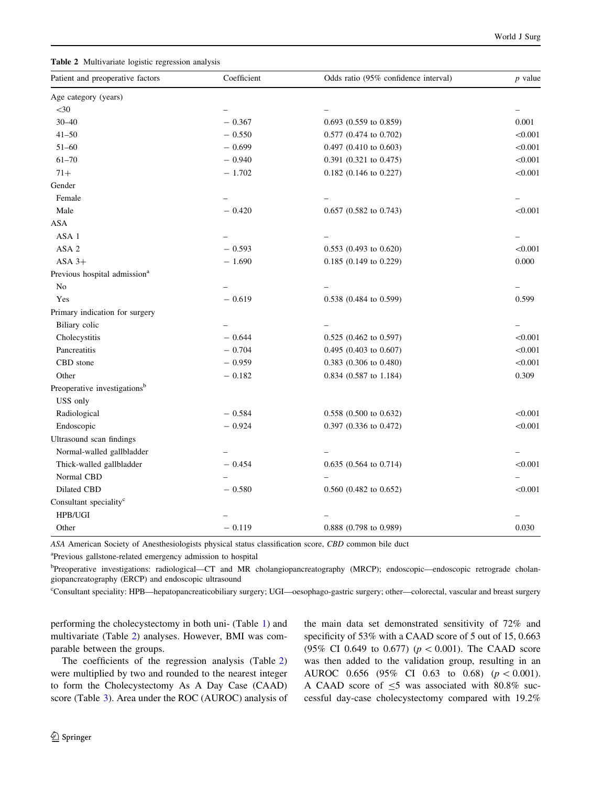| Patient and preoperative factors         | Coefficient | Odds ratio (95% confidence interval) | $p$ value |
|------------------------------------------|-------------|--------------------------------------|-----------|
| Age category (years)                     |             |                                      |           |
| $<$ 30                                   |             |                                      |           |
| $30 - 40$                                | $-0.367$    | 0.693 (0.559 to 0.859)               | 0.001     |
| $41 - 50$                                | $-0.550$    | 0.577 (0.474 to 0.702)               | < 0.001   |
| $51 - 60$                                | $-0.699$    | 0.497 (0.410 to 0.603)               | < 0.001   |
| $61 - 70$                                | $-0.940$    | 0.391 (0.321 to 0.475)               | < 0.001   |
| $71+$                                    | $-1.702$    | 0.182 (0.146 to 0.227)               | < 0.001   |
| Gender                                   |             |                                      |           |
| Female                                   |             |                                      |           |
| Male                                     | $-0.420$    | $0.657$ $(0.582$ to $0.743)$         | < 0.001   |
| <b>ASA</b>                               |             |                                      |           |
| ASA 1                                    |             |                                      |           |
| ASA 2                                    | $-0.593$    | 0.553 (0.493 to 0.620)               | < 0.001   |
| $ASA$ 3+                                 | $-1.690$    | $0.185$ (0.149 to 0.229)             | 0.000     |
| Previous hospital admission <sup>a</sup> |             |                                      |           |
| No                                       |             |                                      |           |
| Yes                                      | $-0.619$    | 0.538 (0.484 to 0.599)               | 0.599     |
| Primary indication for surgery           |             |                                      |           |
| Biliary colic                            |             |                                      |           |
| Cholecystitis                            | $-0.644$    | $0.525$ $(0.462$ to $0.597)$         | < 0.001   |
| Pancreatitis                             | $-0.704$    | $0.495$ (0.403 to 0.607)             | < 0.001   |
| CBD stone                                | $-0.959$    | 0.383 (0.306 to 0.480)               | < 0.001   |
| Other                                    | $-0.182$    | 0.834 (0.587 to 1.184)               | 0.309     |
| Preoperative investigations <sup>b</sup> |             |                                      |           |
| USS only                                 |             |                                      |           |
| Radiological                             | $-0.584$    | 0.558 (0.500 to 0.632)               | < 0.001   |
| Endoscopic                               | $-0.924$    | 0.397 (0.336 to 0.472)               | < 0.001   |
| Ultrasound scan findings                 |             |                                      |           |
| Normal-walled gallbladder                |             |                                      |           |
| Thick-walled gallbladder                 | $-0.454$    | $0.635$ $(0.564$ to $0.714)$         | < 0.001   |
| Normal CBD                               |             |                                      |           |
| Dilated CBD                              | $-0.580$    | $0.560$ $(0.482$ to $0.652)$         | < 0.001   |
| Consultant speciality <sup>c</sup>       |             |                                      |           |
| HPB/UGI                                  |             |                                      |           |
| Other                                    | $-0.119$    | $0.888$ (0.798 to 0.989)             | 0.030     |

ASA American Society of Anesthesiologists physical status classification score, CBD common bile duct

<sup>a</sup>Previous gallstone-related emergency admission to hospital

b Preoperative investigations: radiological—CT and MR cholangiopancreatography (MRCP); endoscopic—endoscopic retrograde cholangiopancreatography (ERCP) and endoscopic ultrasound

c Consultant speciality: HPB—hepatopancreaticobiliary surgery; UGI—oesophago-gastric surgery; other—colorectal, vascular and breast surgery

performing the cholecystectomy in both uni- (Table [1\)](#page-2-0) and multivariate (Table 2) analyses. However, BMI was comparable between the groups.

The coefficients of the regression analysis (Table 2) were multiplied by two and rounded to the nearest integer to form the Cholecystectomy As A Day Case (CAAD) score (Table [3](#page-4-0)). Area under the ROC (AUROC) analysis of the main data set demonstrated sensitivity of 72% and specificity of 53% with a CAAD score of 5 out of 15, 0.663 (95% CI 0.649 to 0.677) ( $p < 0.001$ ). The CAAD score was then added to the validation group, resulting in an AUROC 0.656 (95% CI 0.63 to 0.68) ( $p < 0.001$ ). A CAAD score of  $\leq$ 5 was associated with 80.8% successful day-case cholecystectomy compared with 19.2%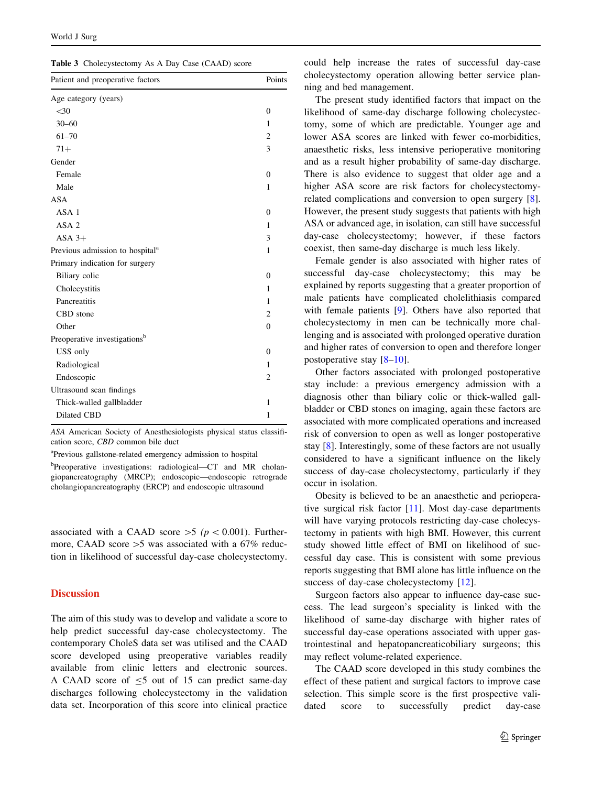<span id="page-4-0"></span>

|  | Table 3 Cholecystectomy As A Day Case (CAAD) score |  |  |  |  |
|--|----------------------------------------------------|--|--|--|--|
|--|----------------------------------------------------|--|--|--|--|

| Patient and preoperative factors            | Points         |
|---------------------------------------------|----------------|
| Age category (years)                        |                |
| $<$ 30                                      | $\mathbf{0}$   |
| $30 - 60$                                   | 1              |
| $61 - 70$                                   | 2              |
| $71+$                                       | 3              |
| Gender                                      |                |
| Female                                      | $\theta$       |
| Male                                        | 1              |
| <b>ASA</b>                                  |                |
| ASA <sub>1</sub>                            | $\Omega$       |
| ASA <sub>2</sub>                            | 1              |
| $ASA$ 3+                                    | 3              |
| Previous admission to hospital <sup>a</sup> | 1              |
| Primary indication for surgery              |                |
| Biliary colic                               | $\Omega$       |
| Cholecystitis                               | 1              |
| Pancreatitis                                | 1              |
| CBD stone                                   | $\overline{c}$ |
| Other                                       | $\mathbf{0}$   |
| Preoperative investigations <sup>b</sup>    |                |
| USS only                                    | $\Omega$       |
| Radiological                                | 1              |
| Endoscopic                                  | 2              |
| Ultrasound scan findings                    |                |
| Thick-walled gallbladder                    | 1              |
| Dilated CBD                                 | 1              |

ASA American Society of Anesthesiologists physical status classification score, CBD common bile duct

<sup>a</sup>Previous gallstone-related emergency admission to hospital

<sup>b</sup>Preoperative investigations: radiological-CT and MR cholangiopancreatography (MRCP); endoscopic—endoscopic retrograde cholangiopancreatography (ERCP) and endoscopic ultrasound

associated with a CAAD score  $>5$  ( $p < 0.001$ ). Furthermore, CAAD score  $>5$  was associated with a 67% reduction in likelihood of successful day-case cholecystectomy.

# **Discussion**

The aim of this study was to develop and validate a score to help predict successful day-case cholecystectomy. The contemporary CholeS data set was utilised and the CAAD score developed using preoperative variables readily available from clinic letters and electronic sources. A CAAD score of  $\leq$ 5 out of 15 can predict same-day discharges following cholecystectomy in the validation data set. Incorporation of this score into clinical practice could help increase the rates of successful day-case cholecystectomy operation allowing better service planning and bed management.

The present study identified factors that impact on the likelihood of same-day discharge following cholecystectomy, some of which are predictable. Younger age and lower ASA scores are linked with fewer co-morbidities, anaesthetic risks, less intensive perioperative monitoring and as a result higher probability of same-day discharge. There is also evidence to suggest that older age and a higher ASA score are risk factors for cholecystectomyrelated complications and conversion to open surgery [\[8](#page-6-0)]. However, the present study suggests that patients with high ASA or advanced age, in isolation, can still have successful day-case cholecystectomy; however, if these factors coexist, then same-day discharge is much less likely.

Female gender is also associated with higher rates of successful day-case cholecystectomy; this may be explained by reports suggesting that a greater proportion of male patients have complicated cholelithiasis compared with female patients [[9\]](#page-6-0). Others have also reported that cholecystectomy in men can be technically more challenging and is associated with prolonged operative duration and higher rates of conversion to open and therefore longer postoperative stay [\[8–10](#page-6-0)].

Other factors associated with prolonged postoperative stay include: a previous emergency admission with a diagnosis other than biliary colic or thick-walled gallbladder or CBD stones on imaging, again these factors are associated with more complicated operations and increased risk of conversion to open as well as longer postoperative stay [\[8](#page-6-0)]. Interestingly, some of these factors are not usually considered to have a significant influence on the likely success of day-case cholecystectomy, particularly if they occur in isolation.

Obesity is believed to be an anaesthetic and perioperative surgical risk factor [\[11](#page-6-0)]. Most day-case departments will have varying protocols restricting day-case cholecystectomy in patients with high BMI. However, this current study showed little effect of BMI on likelihood of successful day case. This is consistent with some previous reports suggesting that BMI alone has little influence on the success of day-case cholecystectomy [\[12](#page-6-0)].

Surgeon factors also appear to influence day-case success. The lead surgeon's speciality is linked with the likelihood of same-day discharge with higher rates of successful day-case operations associated with upper gastrointestinal and hepatopancreaticobiliary surgeons; this may reflect volume-related experience.

The CAAD score developed in this study combines the effect of these patient and surgical factors to improve case selection. This simple score is the first prospective validated score to successfully predict day-case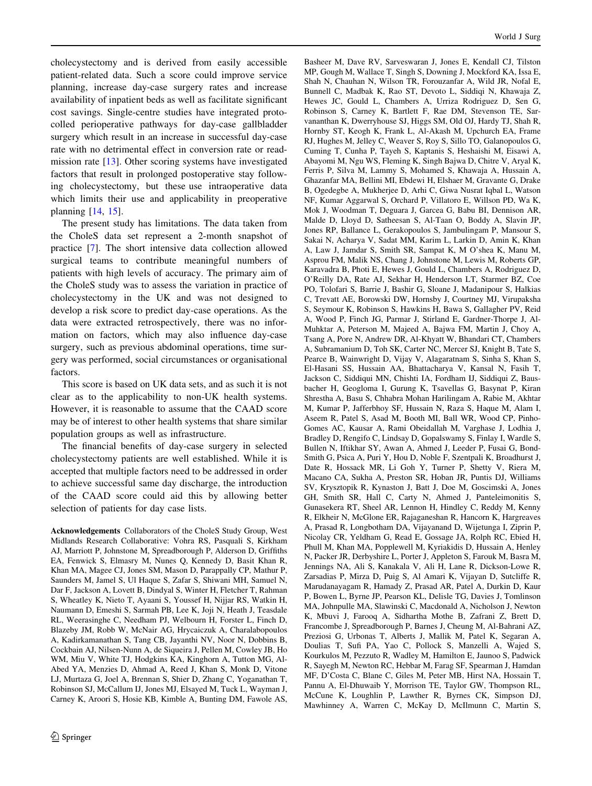cholecystectomy and is derived from easily accessible patient-related data. Such a score could improve service planning, increase day-case surgery rates and increase availability of inpatient beds as well as facilitate significant cost savings. Single-centre studies have integrated protocolled perioperative pathways for day-case gallbladder surgery which result in an increase in successful day-case rate with no detrimental effect in conversion rate or readmission rate [[13\]](#page-6-0). Other scoring systems have investigated factors that result in prolonged postoperative stay following cholecystectomy, but these use intraoperative data which limits their use and applicability in preoperative planning [[14,](#page-6-0) [15](#page-6-0)].

The present study has limitations. The data taken from the CholeS data set represent a 2-month snapshot of practice [[7\]](#page-6-0). The short intensive data collection allowed surgical teams to contribute meaningful numbers of patients with high levels of accuracy. The primary aim of the CholeS study was to assess the variation in practice of cholecystectomy in the UK and was not designed to develop a risk score to predict day-case operations. As the data were extracted retrospectively, there was no information on factors, which may also influence day-case surgery, such as previous abdominal operations, time surgery was performed, social circumstances or organisational factors.

This score is based on UK data sets, and as such it is not clear as to the applicability to non-UK health systems. However, it is reasonable to assume that the CAAD score may be of interest to other health systems that share similar population groups as well as infrastructure.

The financial benefits of day-case surgery in selected cholecystectomy patients are well established. While it is accepted that multiple factors need to be addressed in order to achieve successful same day discharge, the introduction of the CAAD score could aid this by allowing better selection of patients for day case lists.

Acknowledgements Collaborators of the CholeS Study Group, West Midlands Research Collaborative: Vohra RS, Pasquali S, Kirkham AJ, Marriott P, Johnstone M, Spreadborough P, Alderson D, Griffiths EA, Fenwick S, Elmasry M, Nunes Q, Kennedy D, Basit Khan R, Khan MA, Magee CJ, Jones SM, Mason D, Parappally CP, Mathur P, Saunders M, Jamel S, Ul Haque S, Zafar S, Shiwani MH, Samuel N, Dar F, Jackson A, Lovett B, Dindyal S, Winter H, Fletcher T, Rahman S, Wheatley K, Nieto T, Ayaani S, Youssef H, Nijjar RS, Watkin H, Naumann D, Emeshi S, Sarmah PB, Lee K, Joji N, Heath J, Teasdale RL, Weerasinghe C, Needham PJ, Welbourn H, Forster L, Finch D, Blazeby JM, Robb W, McNair AG, Hrycaiczuk A, Charalabopoulos A, Kadirkamanathan S, Tang CB, Jayanthi NV, Noor N, Dobbins B, Cockbain AJ, Nilsen-Nunn A, de Siqueira J, Pellen M, Cowley JB, Ho WM, Miu V, White TJ, Hodgkins KA, Kinghorn A, Tutton MG, Al-Abed YA, Menzies D, Ahmad A, Reed J, Khan S, Monk D, Vitone LJ, Murtaza G, Joel A, Brennan S, Shier D, Zhang C, Yoganathan T, Robinson SJ, McCallum IJ, Jones MJ, Elsayed M, Tuck L, Wayman J, Carney K, Aroori S, Hosie KB, Kimble A, Bunting DM, Fawole AS,

Basheer M, Dave RV, Sarveswaran J, Jones E, Kendall CJ, Tilston MP, Gough M, Wallace T, Singh S, Downing J, Mockford KA, Issa E, Shah N, Chauhan N, Wilson TR, Forouzanfar A, Wild JR, Nofal E, Bunnell C, Madbak K, Rao ST, Devoto L, Siddiqi N, Khawaja Z, Hewes JC, Gould L, Chambers A, Urriza Rodriguez D, Sen G, Robinson S, Carney K, Bartlett F, Rae DM, Stevenson TE, Sarvananthan K, Dwerryhouse SJ, Higgs SM, Old OJ, Hardy TJ, Shah R, Hornby ST, Keogh K, Frank L, Al-Akash M, Upchurch EA, Frame RJ, Hughes M, Jelley C, Weaver S, Roy S, Sillo TO, Galanopoulos G, Cuming T, Cunha P, Tayeh S, Kaptanis S, Heshaishi M, Eisawi A, Abayomi M, Ngu WS, Fleming K, Singh Bajwa D, Chitre V, Aryal K, Ferris P, Silva M, Lammy S, Mohamed S, Khawaja A, Hussain A, Ghazanfar MA, Bellini MI, Ebdewi H, Elshaer M, Gravante G, Drake B, Ogedegbe A, Mukherjee D, Arhi C, Giwa Nusrat Iqbal L, Watson NF, Kumar Aggarwal S, Orchard P, Villatoro E, Willson PD, Wa K, Mok J, Woodman T, Deguara J, Garcea G, Babu BI, Dennison AR, Malde D, Lloyd D, Satheesan S, Al-Taan O, Boddy A, Slavin JP, Jones RP, Ballance L, Gerakopoulos S, Jambulingam P, Mansour S, Sakai N, Acharya V, Sadat MM, Karim L, Larkin D, Amin K, Khan A, Law J, Jamdar S, Smith SR, Sampat K, M O'shea K, Manu M, Asprou FM, Malik NS, Chang J, Johnstone M, Lewis M, Roberts GP, Karavadra B, Photi E, Hewes J, Gould L, Chambers A, Rodriguez D, O'Reilly DA, Rate AJ, Sekhar H, Henderson LT, Starmer BZ, Coe PO, Tolofari S, Barrie J, Bashir G, Sloane J, Madanipour S, Halkias C, Trevatt AE, Borowski DW, Hornsby J, Courtney MJ, Virupaksha S, Seymour K, Robinson S, Hawkins H, Bawa S, Gallagher PV, Reid A, Wood P, Finch JG, Parmar J, Stirland E, Gardner-Thorpe J, Al-Muhktar A, Peterson M, Majeed A, Bajwa FM, Martin J, Choy A, Tsang A, Pore N, Andrew DR, Al-Khyatt W, Bhandari CT, Chambers A, Subramanium D, Toh SK, Carter NC, Mercer SJ, Knight B, Tate S, Pearce B, Wainwright D, Vijay V, Alagaratnam S, Sinha S, Khan S, El-Hasani SS, Hussain AA, Bhattacharya V, Kansal N, Fasih T, Jackson C, Siddiqui MN, Chishti IA, Fordham IJ, Siddiqui Z, Bausbacher H, Geogloma I, Gurung K, Tsavellas G, Basynat P, Kiran Shrestha A, Basu S, Chhabra Mohan Harilingam A, Rabie M, Akhtar M, Kumar P, Jafferbhoy SF, Hussain N, Raza S, Haque M, Alam I, Aseem R, Patel S, Asad M, Booth MI, Ball WR, Wood CP, Pinho-Gomes AC, Kausar A, Rami Obeidallah M, Varghase J, Lodhia J, Bradley D, Rengifo C, Lindsay D, Gopalswamy S, Finlay I, Wardle S, Bullen N, Iftikhar SY, Awan A, Ahmed J, Leeder P, Fusai G, Bond-Smith G, Psica A, Puri Y, Hou D, Noble F, Szentpali K, Broadhurst J, Date R, Hossack MR, Li Goh Y, Turner P, Shetty V, Riera M, Macano CA, Sukha A, Preston SR, Hoban JR, Puntis DJ, Williams SV, Krysztopik R, Kynaston J, Batt J, Doe M, Goscimski A, Jones GH, Smith SR, Hall C, Carty N, Ahmed J, Panteleimonitis S, Gunasekera RT, Sheel AR, Lennon H, Hindley C, Reddy M, Kenny R, Elkheir N, McGlone ER, Rajaganeshan R, Hancorn K, Hargreaves A, Prasad R, Longbotham DA, Vijayanand D, Wijetunga I, Ziprin P, Nicolay CR, Yeldham G, Read E, Gossage JA, Rolph RC, Ebied H, Phull M, Khan MA, Popplewell M, Kyriakidis D, Hussain A, Henley N, Packer JR, Derbyshire L, Porter J, Appleton S, Farouk M, Basra M, Jennings NA, Ali S, Kanakala V, Ali H, Lane R, Dickson-Lowe R, Zarsadias P, Mirza D, Puig S, Al Amari K, Vijayan D, Sutcliffe R, Marudanayagam R, Hamady Z, Prasad AR, Patel A, Durkin D, Kaur P, Bowen L, Byrne JP, Pearson KL, Delisle TG, Davies J, Tomlinson MA, Johnpulle MA, Slawinski C, Macdonald A, Nicholson J, Newton K, Mbuvi J, Farooq A, Sidhartha Mothe B, Zafrani Z, Brett D, Francombe J, Spreadborough P, Barnes J, Cheung M, Al-Bahrani AZ, Preziosi G, Urbonas T, Alberts J, Mallik M, Patel K, Segaran A, Doulias T, Sufi PA, Yao C, Pollock S, Manzelli A, Wajed S, Kourkulos M, Pezzuto R, Wadley M, Hamilton E, Jaunoo S, Padwick R, Sayegh M, Newton RC, Hebbar M, Farag SF, Spearman J, Hamdan MF, D'Costa C, Blane C, Giles M, Peter MB, Hirst NA, Hossain T, Pannu A, El-Dhuwaib Y, Morrison TE, Taylor GW, Thompson RL, McCune K, Loughlin P, Lawther R, Byrnes CK, Simpson DJ, Mawhinney A, Warren C, McKay D, McIlmunn C, Martin S,